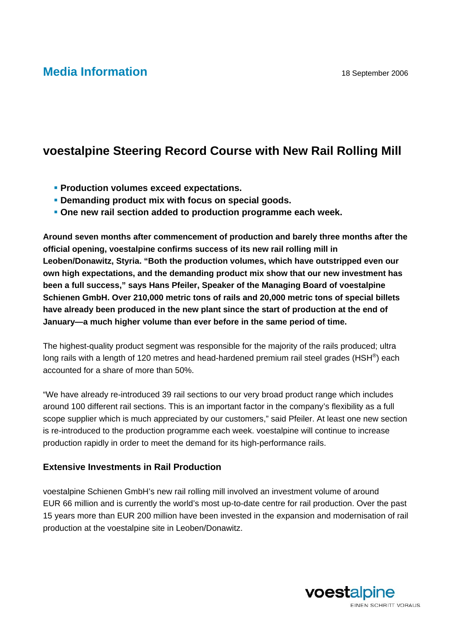## **Media Information** 18 September 2006

## **voestalpine Steering Record Course with New Rail Rolling Mill**

- *<b>• Production volumes exceed expectations.*
- **Demanding product mix with focus on special goods.**
- **One new rail section added to production programme each week.**

**Around seven months after commencement of production and barely three months after the official opening, voestalpine confirms success of its new rail rolling mill in Leoben/Donawitz, Styria. "Both the production volumes, which have outstripped even our own high expectations, and the demanding product mix show that our new investment has been a full success," says Hans Pfeiler, Speaker of the Managing Board of voestalpine Schienen GmbH. Over 210,000 metric tons of rails and 20,000 metric tons of special billets have already been produced in the new plant since the start of production at the end of January—a much higher volume than ever before in the same period of time.** 

The highest-quality product segment was responsible for the majority of the rails produced; ultra long rails with a length of 120 metres and head-hardened premium rail steel grades (HSH<sup>®</sup>) each accounted for a share of more than 50%.

"We have already re-introduced 39 rail sections to our very broad product range which includes around 100 different rail sections. This is an important factor in the company's flexibility as a full scope supplier which is much appreciated by our customers," said Pfeiler. At least one new section is re-introduced to the production programme each week. voestalpine will continue to increase production rapidly in order to meet the demand for its high-performance rails.

## **Extensive Investments in Rail Production**

voestalpine Schienen GmbH's new rail rolling mill involved an investment volume of around EUR 66 million and is currently the world's most up-to-date centre for rail production. Over the past 15 years more than EUR 200 million have been invested in the expansion and modernisation of rail production at the voestalpine site in Leoben/Donawitz.